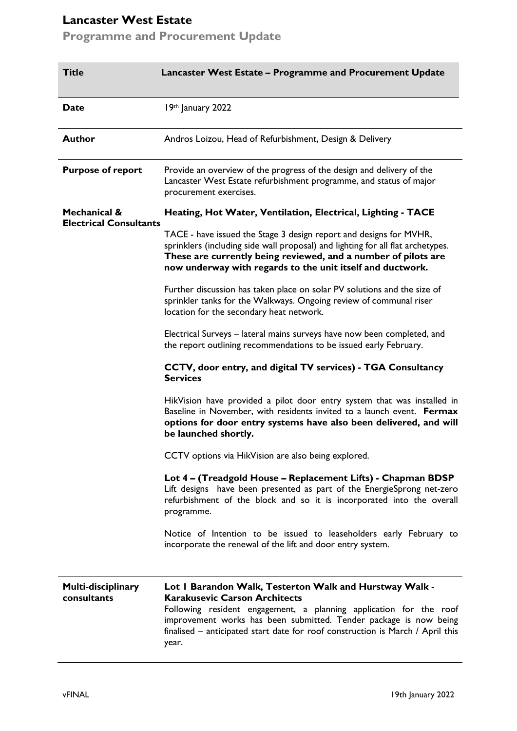# **Lancaster West Estate**

**Programme and Procurement Update**

| <b>Title</b>                                             | Lancaster West Estate - Programme and Procurement Update                                                                                                                                                                                                                                                                                |
|----------------------------------------------------------|-----------------------------------------------------------------------------------------------------------------------------------------------------------------------------------------------------------------------------------------------------------------------------------------------------------------------------------------|
| <b>Date</b>                                              | 19th January 2022                                                                                                                                                                                                                                                                                                                       |
| <b>Author</b>                                            | Andros Loizou, Head of Refurbishment, Design & Delivery                                                                                                                                                                                                                                                                                 |
| <b>Purpose of report</b>                                 | Provide an overview of the progress of the design and delivery of the<br>Lancaster West Estate refurbishment programme, and status of major<br>procurement exercises.                                                                                                                                                                   |
| <b>Mechanical &amp;</b><br><b>Electrical Consultants</b> | Heating, Hot Water, Ventilation, Electrical, Lighting - TACE                                                                                                                                                                                                                                                                            |
|                                                          | TACE - have issued the Stage 3 design report and designs for MVHR,<br>sprinklers (including side wall proposal) and lighting for all flat archetypes.<br>These are currently being reviewed, and a number of pilots are<br>now underway with regards to the unit itself and ductwork.                                                   |
|                                                          | Further discussion has taken place on solar PV solutions and the size of<br>sprinkler tanks for the Walkways. Ongoing review of communal riser<br>location for the secondary heat network.                                                                                                                                              |
|                                                          | Electrical Surveys - lateral mains surveys have now been completed, and<br>the report outlining recommendations to be issued early February.                                                                                                                                                                                            |
|                                                          | CCTV, door entry, and digital TV services) - TGA Consultancy<br><b>Services</b>                                                                                                                                                                                                                                                         |
|                                                          | HikVision have provided a pilot door entry system that was installed in<br>Baseline in November, with residents invited to a launch event. Fermax<br>options for door entry systems have also been delivered, and will<br>be launched shortly.                                                                                          |
|                                                          | CCTV options via HikVision are also being explored.                                                                                                                                                                                                                                                                                     |
|                                                          | Lot 4 - (Treadgold House - Replacement Lifts) - Chapman BDSP<br>Lift designs have been presented as part of the EnergieSprong net-zero<br>refurbishment of the block and so it is incorporated into the overall<br>programme.                                                                                                           |
|                                                          | Notice of Intention to be issued to leaseholders early February to<br>incorporate the renewal of the lift and door entry system.                                                                                                                                                                                                        |
| Multi-disciplinary<br>consultants                        | Lot I Barandon Walk, Testerton Walk and Hurstway Walk -<br><b>Karakusevic Carson Architects</b><br>Following resident engagement, a planning application for the roof<br>improvement works has been submitted. Tender package is now being<br>finalised $-$ anticipated start date for roof construction is March / April this<br>year. |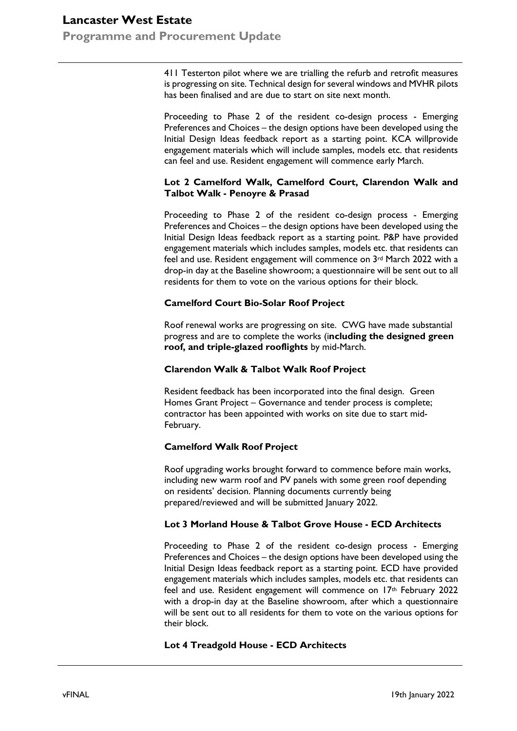# **Lancaster West Estate Programme and Procurement Update**

411 Testerton pilot where we are trialling the refurb and retrofit measures is progressing on site. Technical design for several windows and MVHR pilots has been finalised and are due to start on site next month.

Proceeding to Phase 2 of the resident co-design process - Emerging Preferences and Choices – the design options have been developed using the Initial Design Ideas feedback report as a starting point. KCA willprovide engagement materials which will include samples, models etc. that residents can feel and use. Resident engagement will commence early March.

### **Lot 2 Camelford Walk, Camelford Court, Clarendon Walk and Talbot Walk - Penoyre & Prasad**

Proceeding to Phase 2 of the resident co-design process - Emerging Preferences and Choices – the design options have been developed using the Initial Design Ideas feedback report as a starting point. P&P have provided engagement materials which includes samples, models etc. that residents can feel and use. Resident engagement will commence on 3rd March 2022 with a drop-in day at the Baseline showroom; a questionnaire will be sent out to all residents for them to vote on the various options for their block.

## **Camelford Court Bio-Solar Roof Project**

Roof renewal works are progressing on site. CWG have made substantial progress and are to complete the works (i**ncluding the designed green roof, and triple-glazed rooflights** by mid-March.

### **Clarendon Walk & Talbot Walk Roof Project**

Resident feedback has been incorporated into the final design. Green Homes Grant Project – Governance and tender process is complete; contractor has been appointed with works on site due to start mid-February.

# **Camelford Walk Roof Project**

Roof upgrading works brought forward to commence before main works, including new warm roof and PV panels with some green roof depending on residents' decision. Planning documents currently being prepared/reviewed and will be submitted January 2022.

### **Lot 3 Morland House & Talbot Grove House - ECD Architects**

Proceeding to Phase 2 of the resident co-design process - Emerging Preferences and Choices – the design options have been developed using the Initial Design Ideas feedback report as a starting point. ECD have provided engagement materials which includes samples, models etc. that residents can feel and use. Resident engagement will commence on 17th February 2022 with a drop-in day at the Baseline showroom, after which a questionnaire will be sent out to all residents for them to vote on the various options for their block.

### **Lot 4 Treadgold House - ECD Architects**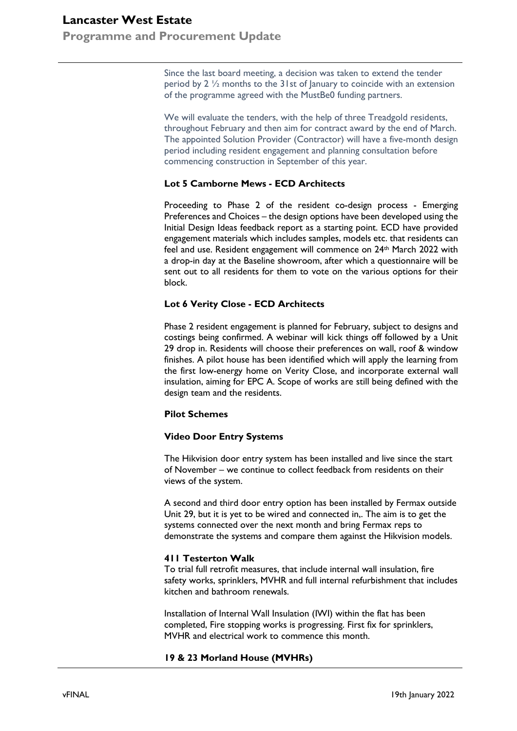# **Lancaster West Estate**

**Programme and Procurement Update**

Since the last board meeting, a decision was taken to extend the tender period by 2  $\frac{1}{2}$  months to the 31st of January to coincide with an extension of the programme agreed with the MustBe0 funding partners.

We will evaluate the tenders, with the help of three Treadgold residents, throughout February and then aim for contract award by the end of March. The appointed Solution Provider (Contractor) will have a five-month design period including resident engagement and planning consultation before commencing construction in September of this year.

### **Lot 5 Camborne Mews - ECD Architects**

Proceeding to Phase 2 of the resident co-design process - Emerging Preferences and Choices – the design options have been developed using the Initial Design Ideas feedback report as a starting point. ECD have provided engagement materials which includes samples, models etc. that residents can feel and use. Resident engagement will commence on 24<sup>th</sup> March 2022 with a drop-in day at the Baseline showroom, after which a questionnaire will be sent out to all residents for them to vote on the various options for their block.

## **Lot 6 Verity Close - ECD Architects**

Phase 2 resident engagement is planned for February, subject to designs and costings being confirmed. A webinar will kick things off followed by a Unit 29 drop in. Residents will choose their preferences on wall, roof & window finishes. A pilot house has been identified which will apply the learning from the first low-energy home on Verity Close, and incorporate external wall insulation, aiming for EPC A. Scope of works are still being defined with the design team and the residents.

### **Pilot Schemes**

### **Video Door Entry Systems**

The Hikvision door entry system has been installed and live since the start of November – we continue to collect feedback from residents on their views of the system.

A second and third door entry option has been installed by Fermax outside Unit 29, but it is yet to be wired and connected in,. The aim is to get the systems connected over the next month and bring Fermax reps to demonstrate the systems and compare them against the Hikvision models.

### **411 Testerton Walk**

To trial full retrofit measures, that include internal wall insulation, fire safety works, sprinklers, MVHR and full internal refurbishment that includes kitchen and bathroom renewals.

Installation of Internal Wall Insulation (IWI) within the flat has been completed, Fire stopping works is progressing. First fix for sprinklers, MVHR and electrical work to commence this month.

### **19 & 23 Morland House (MVHRs)**